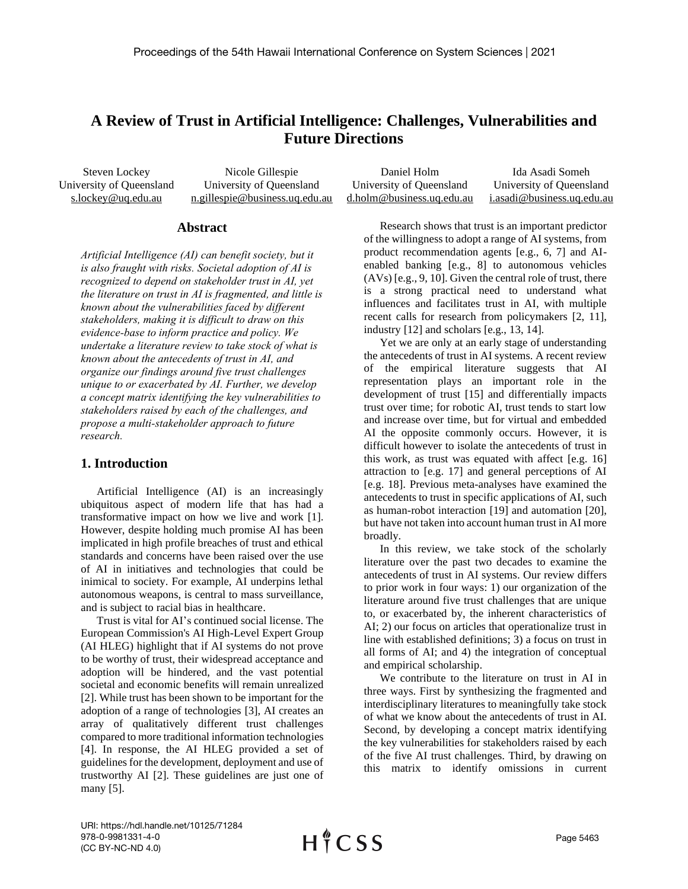# **A Review of Trust in Artificial Intelligence: Challenges, Vulnerabilities and Future Directions**

Steven Lockey University of Queensland s.lockey@uq.edu.au Nicole Gillespie University of Queensland n.gillespie@business.uq.edu.au Daniel Holm University of Queensland d.holm@business.uq.edu.au Ida Asadi Someh University of Queensland i.asadi@business.uq.edu.au

#### **Abstract**

*Artificial Intelligence (AI) can benefit society, but it is also fraught with risks. Societal adoption of AI is recognized to depend on stakeholder trust in AI, yet the literature on trust in AI is fragmented, and little is known about the vulnerabilities faced by different stakeholders, making it is difficult to draw on this evidence-base to inform practice and policy. We undertake a literature review to take stock of what is known about the antecedents of trust in AI, and organize our findings around five trust challenges unique to or exacerbated by AI. Further, we develop a concept matrix identifying the key vulnerabilities to stakeholders raised by each of the challenges, and propose a multi-stakeholder approach to future research.*

### **1. Introduction**

Artificial Intelligence (AI) is an increasingly ubiquitous aspect of modern life that has had a transformative impact on how we live and work [1]. However, despite holding much promise AI has been implicated in high profile breaches of trust and ethical standards and concerns have been raised over the use of AI in initiatives and technologies that could be inimical to society. For example, AI underpins lethal autonomous weapons, is central to mass surveillance, and is subject to racial bias in healthcare.

Trust is vital for AI's continued social license. The European Commission's AI High-Level Expert Group (AI HLEG) highlight that if AI systems do not prove to be worthy of trust, their widespread acceptance and adoption will be hindered, and the vast potential societal and economic benefits will remain unrealized [2]. While trust has been shown to be important for the adoption of a range of technologies [3], AI creates an array of qualitatively different trust challenges compared to more traditional information technologies [4]. In response, the AI HLEG provided a set of guidelines for the development, deployment and use of trustworthy AI [2]. These guidelines are just one of many [5].

Research shows that trust is an important predictor of the willingness to adopt a range of AI systems, from product recommendation agents [e.g., 6, 7] and AIenabled banking [e.g., 8] to autonomous vehicles (AVs) [e.g., 9, 10]. Given the central role of trust, there is a strong practical need to understand what influences and facilitates trust in AI, with multiple recent calls for research from policymakers [2, 11], industry [12] and scholars [e.g., 13, 14].

Yet we are only at an early stage of understanding the antecedents of trust in AI systems. A recent review of the empirical literature suggests that AI representation plays an important role in the development of trust [15] and differentially impacts trust over time; for robotic AI, trust tends to start low and increase over time, but for virtual and embedded AI the opposite commonly occurs. However, it is difficult however to isolate the antecedents of trust in this work, as trust was equated with affect [e.g. 16] attraction to [e.g. 17] and general perceptions of AI [e.g. 18]. Previous meta-analyses have examined the antecedents to trust in specific applications of AI, such as human-robot interaction [19] and automation [20], but have not taken into account human trust in AI more broadly.

In this review, we take stock of the scholarly literature over the past two decades to examine the antecedents of trust in AI systems. Our review differs to prior work in four ways: 1) our organization of the literature around five trust challenges that are unique to, or exacerbated by, the inherent characteristics of AI; 2) our focus on articles that operationalize trust in line with established definitions; 3) a focus on trust in all forms of AI; and 4) the integration of conceptual and empirical scholarship.

We contribute to the literature on trust in AI in three ways. First by synthesizing the fragmented and interdisciplinary literatures to meaningfully take stock of what we know about the antecedents of trust in AI. Second, by developing a concept matrix identifying the key vulnerabilities for stakeholders raised by each of the five AI trust challenges. Third, by drawing on this matrix to identify omissions in current

URI: https://hdl.handle.net/10125/71284 978-0-9981331-4-0 (CC BY-NC-ND 4.0)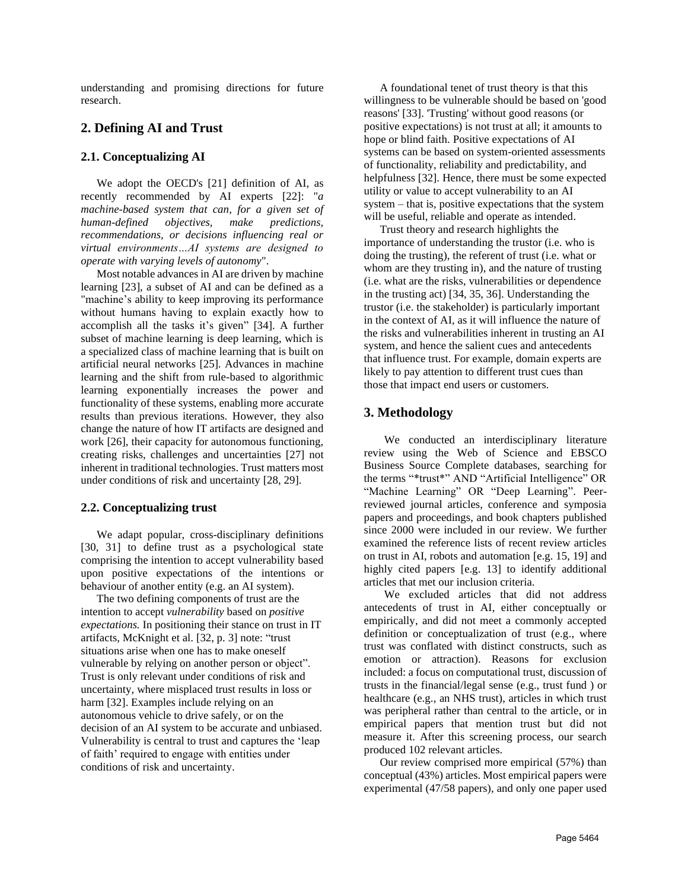understanding and promising directions for future research.

# **2. Defining AI and Trust**

#### **2.1. Conceptualizing AI**

We adopt the OECD's [21] definition of AI, as recently recommended by AI experts [22]: "*a machine-based system that can, for a given set of human-defined objectives, make predictions, recommendations, or decisions influencing real or virtual environments…AI systems are designed to operate with varying levels of autonomy*".

Most notable advances in AI are driven by machine learning [23], a subset of AI and can be defined as a "machine's ability to keep improving its performance without humans having to explain exactly how to accomplish all the tasks it's given" [34]. A further subset of machine learning is deep learning, which is a specialized class of machine learning that is built on artificial neural networks [25]. Advances in machine learning and the shift from rule-based to algorithmic learning exponentially increases the power and functionality of these systems, enabling more accurate results than previous iterations. However, they also change the nature of how IT artifacts are designed and work [26], their capacity for autonomous functioning, creating risks, challenges and uncertainties [27] not inherent in traditional technologies. Trust matters most under conditions of risk and uncertainty [28, 29].

#### **2.2. Conceptualizing trust**

We adapt popular, cross-disciplinary definitions [30, 31] to define trust as a psychological state comprising the intention to accept vulnerability based upon positive expectations of the intentions or behaviour of another entity (e.g. an AI system).

The two defining components of trust are the intention to accept *vulnerability* based on *positive expectations.* In positioning their stance on trust in IT artifacts, McKnight et al. [32, p. 3] note: "trust situations arise when one has to make oneself vulnerable by relying on another person or object". Trust is only relevant under conditions of risk and uncertainty, where misplaced trust results in loss or harm [32]. Examples include relying on an autonomous vehicle to drive safely, or on the decision of an AI system to be accurate and unbiased. Vulnerability is central to trust and captures the 'leap of faith' required to engage with entities under conditions of risk and uncertainty.

A foundational tenet of trust theory is that this willingness to be vulnerable should be based on 'good reasons' [33]. 'Trusting' without good reasons (or positive expectations) is not trust at all; it amounts to hope or blind faith. Positive expectations of AI systems can be based on system-oriented assessments of functionality, reliability and predictability, and helpfulness [32]. Hence, there must be some expected utility or value to accept vulnerability to an AI system – that is, positive expectations that the system will be useful, reliable and operate as intended.

Trust theory and research highlights the importance of understanding the trustor (i.e. who is doing the trusting), the referent of trust (i.e. what or whom are they trusting in), and the nature of trusting (i.e. what are the risks, vulnerabilities or dependence in the trusting act) [34, 35, 36]. Understanding the trustor (i.e. the stakeholder) is particularly important in the context of AI, as it will influence the nature of the risks and vulnerabilities inherent in trusting an AI system, and hence the salient cues and antecedents that influence trust. For example, domain experts are likely to pay attention to different trust cues than those that impact end users or customers.

# **3. Methodology**

We conducted an interdisciplinary literature review using the Web of Science and EBSCO Business Source Complete databases, searching for the terms "\*trust\*" AND "Artificial Intelligence" OR "Machine Learning" OR "Deep Learning". Peerreviewed journal articles, conference and symposia papers and proceedings, and book chapters published since 2000 were included in our review. We further examined the reference lists of recent review articles on trust in AI, robots and automation [e.g. 15, 19] and highly cited papers [e.g. 13] to identify additional articles that met our inclusion criteria.

We excluded articles that did not address antecedents of trust in AI, either conceptually or empirically, and did not meet a commonly accepted definition or conceptualization of trust (e.g., where trust was conflated with distinct constructs, such as emotion or attraction). Reasons for exclusion included: a focus on computational trust, discussion of trusts in the financial/legal sense (e.g., trust fund ) or healthcare (e.g., an NHS trust), articles in which trust was peripheral rather than central to the article, or in empirical papers that mention trust but did not measure it. After this screening process, our search produced 102 relevant articles.

Our review comprised more empirical (57%) than conceptual (43%) articles. Most empirical papers were experimental (47/58 papers), and only one paper used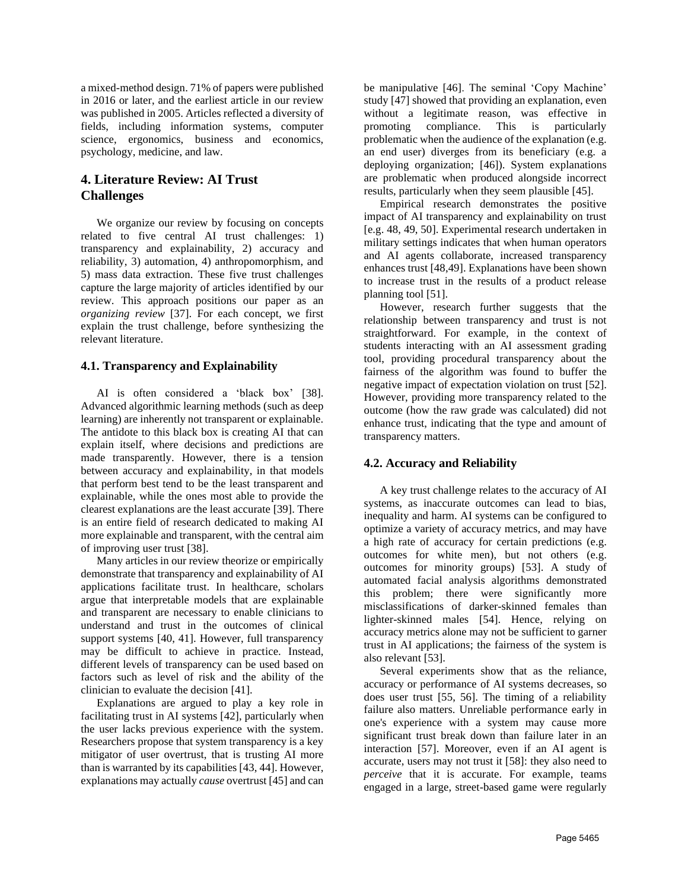a mixed-method design. 71% of papers were published in 2016 or later, and the earliest article in our review was published in 2005. Articles reflected a diversity of fields, including information systems, computer science, ergonomics, business and economics, psychology, medicine, and law.

# **4. Literature Review: AI Trust Challenges**

We organize our review by focusing on concepts related to five central AI trust challenges: 1) transparency and explainability, 2) accuracy and reliability, 3) automation, 4) anthropomorphism, and 5) mass data extraction. These five trust challenges capture the large majority of articles identified by our review. This approach positions our paper as an *organizing review* [37]. For each concept, we first explain the trust challenge, before synthesizing the relevant literature.

#### **4.1. Transparency and Explainability**

AI is often considered a 'black box' [38]. Advanced algorithmic learning methods (such as deep learning) are inherently not transparent or explainable. The antidote to this black box is creating AI that can explain itself, where decisions and predictions are made transparently. However, there is a tension between accuracy and explainability, in that models that perform best tend to be the least transparent and explainable, while the ones most able to provide the clearest explanations are the least accurate [39]. There is an entire field of research dedicated to making AI more explainable and transparent, with the central aim of improving user trust [38].

Many articles in our review theorize or empirically demonstrate that transparency and explainability of AI applications facilitate trust. In healthcare, scholars argue that interpretable models that are explainable and transparent are necessary to enable clinicians to understand and trust in the outcomes of clinical support systems [40, 41]. However, full transparency may be difficult to achieve in practice. Instead, different levels of transparency can be used based on factors such as level of risk and the ability of the clinician to evaluate the decision [41].

Explanations are argued to play a key role in facilitating trust in AI systems [42], particularly when the user lacks previous experience with the system. Researchers propose that system transparency is a key mitigator of user overtrust, that is trusting AI more than is warranted by its capabilities [43, 44]. However, explanations may actually *cause* overtrust [45] and can be manipulative [46]. The seminal 'Copy Machine' study [47] showed that providing an explanation, even without a legitimate reason, was effective in promoting compliance. This is particularly problematic when the audience of the explanation (e.g. an end user) diverges from its beneficiary (e.g. a deploying organization; [46]). System explanations are problematic when produced alongside incorrect results, particularly when they seem plausible [45].

Empirical research demonstrates the positive impact of AI transparency and explainability on trust [e.g. 48, 49, 50]. Experimental research undertaken in military settings indicates that when human operators and AI agents collaborate, increased transparency enhances trust [48,49]. Explanations have been shown to increase trust in the results of a product release planning tool [51].

However, research further suggests that the relationship between transparency and trust is not straightforward. For example, in the context of students interacting with an AI assessment grading tool, providing procedural transparency about the fairness of the algorithm was found to buffer the negative impact of expectation violation on trust [52]. However, providing more transparency related to the outcome (how the raw grade was calculated) did not enhance trust, indicating that the type and amount of transparency matters.

#### **4.2. Accuracy and Reliability**

A key trust challenge relates to the accuracy of AI systems, as inaccurate outcomes can lead to bias, inequality and harm. AI systems can be configured to optimize a variety of accuracy metrics, and may have a high rate of accuracy for certain predictions (e.g. outcomes for white men), but not others (e.g. outcomes for minority groups) [53]. A study of automated facial analysis algorithms demonstrated this problem; there were significantly more misclassifications of darker-skinned females than lighter-skinned males [54]. Hence, relying on accuracy metrics alone may not be sufficient to garner trust in AI applications; the fairness of the system is also relevant [53].

Several experiments show that as the reliance, accuracy or performance of AI systems decreases, so does user trust [55, 56]. The timing of a reliability failure also matters. Unreliable performance early in one's experience with a system may cause more significant trust break down than failure later in an interaction [57]. Moreover, even if an AI agent is accurate, users may not trust it [58]: they also need to *perceive* that it is accurate. For example, teams engaged in a large, street-based game were regularly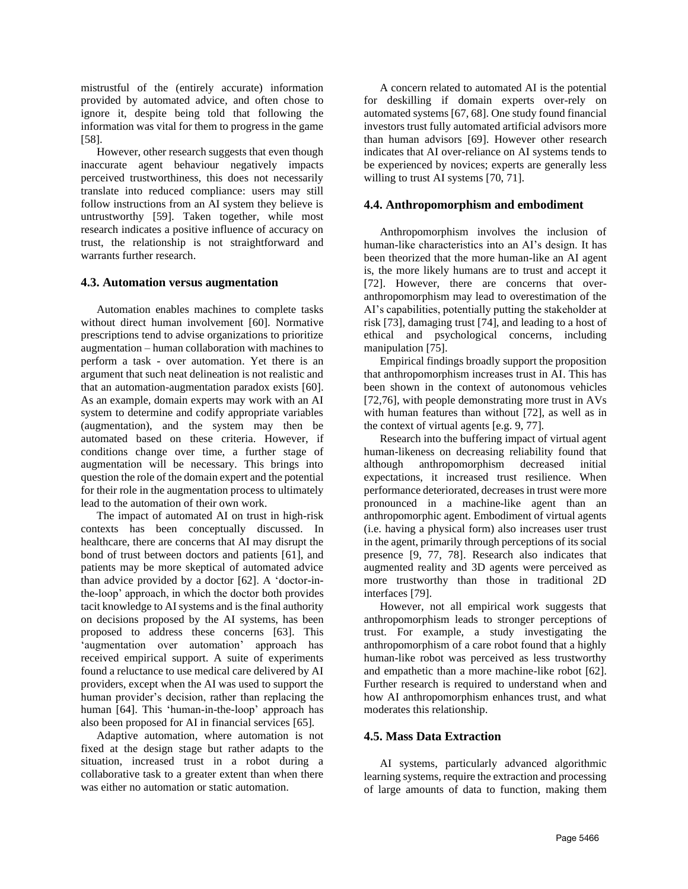mistrustful of the (entirely accurate) information provided by automated advice, and often chose to ignore it, despite being told that following the information was vital for them to progress in the game [58].

However, other research suggests that even though inaccurate agent behaviour negatively impacts perceived trustworthiness, this does not necessarily translate into reduced compliance: users may still follow instructions from an AI system they believe is untrustworthy [59]. Taken together, while most research indicates a positive influence of accuracy on trust, the relationship is not straightforward and warrants further research.

#### **4.3. Automation versus augmentation**

Automation enables machines to complete tasks without direct human involvement [60]. Normative prescriptions tend to advise organizations to prioritize augmentation – human collaboration with machines to perform a task - over automation. Yet there is an argument that such neat delineation is not realistic and that an automation-augmentation paradox exists [60]. As an example, domain experts may work with an AI system to determine and codify appropriate variables (augmentation), and the system may then be automated based on these criteria. However, if conditions change over time, a further stage of augmentation will be necessary. This brings into question the role of the domain expert and the potential for their role in the augmentation process to ultimately lead to the automation of their own work.

The impact of automated AI on trust in high-risk contexts has been conceptually discussed. In healthcare, there are concerns that AI may disrupt the bond of trust between doctors and patients [61], and patients may be more skeptical of automated advice than advice provided by a doctor [62]. A 'doctor-inthe-loop' approach, in which the doctor both provides tacit knowledge to AI systems and is the final authority on decisions proposed by the AI systems, has been proposed to address these concerns [63]. This 'augmentation over automation' approach has received empirical support. A suite of experiments found a reluctance to use medical care delivered by AI providers, except when the AI was used to support the human provider's decision, rather than replacing the human [64]. This 'human-in-the-loop' approach has also been proposed for AI in financial services [65].

Adaptive automation, where automation is not fixed at the design stage but rather adapts to the situation, increased trust in a robot during a collaborative task to a greater extent than when there was either no automation or static automation.

A concern related to automated AI is the potential for deskilling if domain experts over-rely on automated systems [67, 68]. One study found financial investors trust fully automated artificial advisors more than human advisors [69]. However other research indicates that AI over-reliance on AI systems tends to be experienced by novices; experts are generally less willing to trust AI systems [70, 71].

#### **4.4. Anthropomorphism and embodiment**

Anthropomorphism involves the inclusion of human-like characteristics into an AI's design. It has been theorized that the more human-like an AI agent is, the more likely humans are to trust and accept it [72]. However, there are concerns that overanthropomorphism may lead to overestimation of the AI's capabilities, potentially putting the stakeholder at risk [73], damaging trust [74], and leading to a host of ethical and psychological concerns, including manipulation [75].

Empirical findings broadly support the proposition that anthropomorphism increases trust in AI. This has been shown in the context of autonomous vehicles [72,76], with people demonstrating more trust in AVs with human features than without [72], as well as in the context of virtual agents [e.g. 9, 77].

Research into the buffering impact of virtual agent human-likeness on decreasing reliability found that although anthropomorphism decreased initial expectations, it increased trust resilience. When performance deteriorated, decreases in trust were more pronounced in a machine-like agent than an anthropomorphic agent. Embodiment of virtual agents (i.e. having a physical form) also increases user trust in the agent, primarily through perceptions of its social presence [9, 77, 78]. Research also indicates that augmented reality and 3D agents were perceived as more trustworthy than those in traditional 2D interfaces [79].

However, not all empirical work suggests that anthropomorphism leads to stronger perceptions of trust. For example, a study investigating the anthropomorphism of a care robot found that a highly human-like robot was perceived as less trustworthy and empathetic than a more machine-like robot [62]. Further research is required to understand when and how AI anthropomorphism enhances trust, and what moderates this relationship.

#### **4.5. Mass Data Extraction**

AI systems, particularly advanced algorithmic learning systems, require the extraction and processing of large amounts of data to function, making them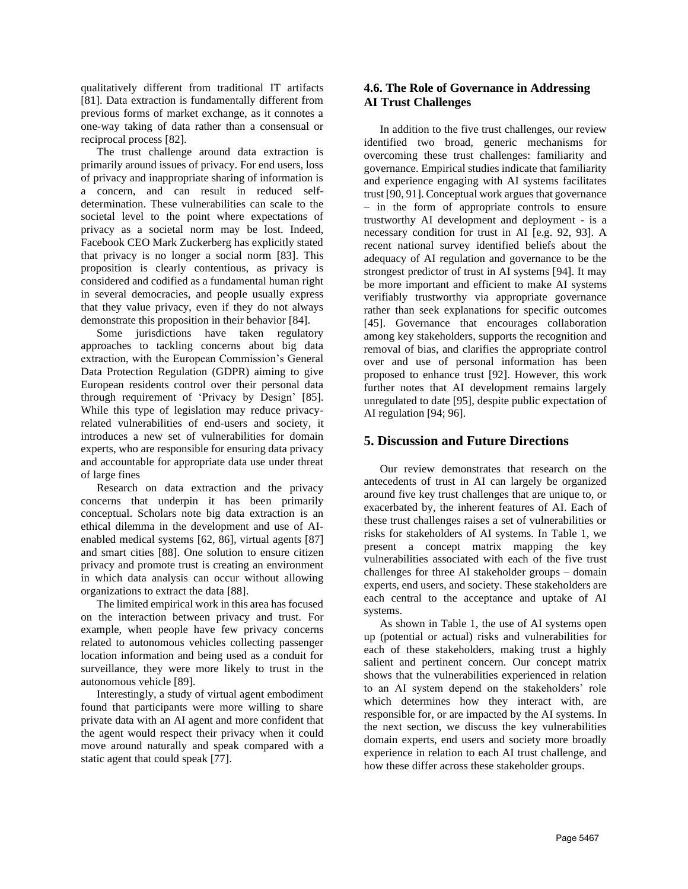qualitatively different from traditional IT artifacts [81]. Data extraction is fundamentally different from previous forms of market exchange, as it connotes a one-way taking of data rather than a consensual or reciprocal process [82].

The trust challenge around data extraction is primarily around issues of privacy. For end users, loss of privacy and inappropriate sharing of information is a concern, and can result in reduced selfdetermination. These vulnerabilities can scale to the societal level to the point where expectations of privacy as a societal norm may be lost. Indeed, Facebook CEO Mark Zuckerberg has explicitly stated that privacy is no longer a social norm [83]. This proposition is clearly contentious, as privacy is considered and codified as a fundamental human right in several democracies, and people usually express that they value privacy, even if they do not always demonstrate this proposition in their behavior [84].

Some jurisdictions have taken regulatory approaches to tackling concerns about big data extraction, with the European Commission's General Data Protection Regulation (GDPR) aiming to give European residents control over their personal data through requirement of 'Privacy by Design' [85]. While this type of legislation may reduce privacyrelated vulnerabilities of end-users and society, it introduces a new set of vulnerabilities for domain experts, who are responsible for ensuring data privacy and accountable for appropriate data use under threat of large fines

Research on data extraction and the privacy concerns that underpin it has been primarily conceptual. Scholars note big data extraction is an ethical dilemma in the development and use of AIenabled medical systems [62, 86], virtual agents [87] and smart cities [88]. One solution to ensure citizen privacy and promote trust is creating an environment in which data analysis can occur without allowing organizations to extract the data [88].

The limited empirical work in this area has focused on the interaction between privacy and trust. For example, when people have few privacy concerns related to autonomous vehicles collecting passenger location information and being used as a conduit for surveillance, they were more likely to trust in the autonomous vehicle [89].

Interestingly, a study of virtual agent embodiment found that participants were more willing to share private data with an AI agent and more confident that the agent would respect their privacy when it could move around naturally and speak compared with a static agent that could speak [77].

### **4.6. The Role of Governance in Addressing AI Trust Challenges**

In addition to the five trust challenges, our review identified two broad, generic mechanisms for overcoming these trust challenges: familiarity and governance. Empirical studies indicate that familiarity and experience engaging with AI systems facilitates trust [90, 91]. Conceptual work argues that governance – in the form of appropriate controls to ensure trustworthy AI development and deployment - is a necessary condition for trust in AI [e.g. 92, 93]. A recent national survey identified beliefs about the adequacy of AI regulation and governance to be the strongest predictor of trust in AI systems [94]. It may be more important and efficient to make AI systems verifiably trustworthy via appropriate governance rather than seek explanations for specific outcomes [45]. Governance that encourages collaboration among key stakeholders, supports the recognition and removal of bias, and clarifies the appropriate control over and use of personal information has been proposed to enhance trust [92]. However, this work further notes that AI development remains largely unregulated to date [95], despite public expectation of AI regulation [94; 96].

# **5. Discussion and Future Directions**

Our review demonstrates that research on the antecedents of trust in AI can largely be organized around five key trust challenges that are unique to, or exacerbated by, the inherent features of AI. Each of these trust challenges raises a set of vulnerabilities or risks for stakeholders of AI systems. In Table 1, we present a concept matrix mapping the key vulnerabilities associated with each of the five trust challenges for three AI stakeholder groups – domain experts, end users, and society. These stakeholders are each central to the acceptance and uptake of AI systems.

As shown in Table 1, the use of AI systems open up (potential or actual) risks and vulnerabilities for each of these stakeholders, making trust a highly salient and pertinent concern. Our concept matrix shows that the vulnerabilities experienced in relation to an AI system depend on the stakeholders' role which determines how they interact with, are responsible for, or are impacted by the AI systems. In the next section, we discuss the key vulnerabilities domain experts, end users and society more broadly experience in relation to each AI trust challenge, and how these differ across these stakeholder groups.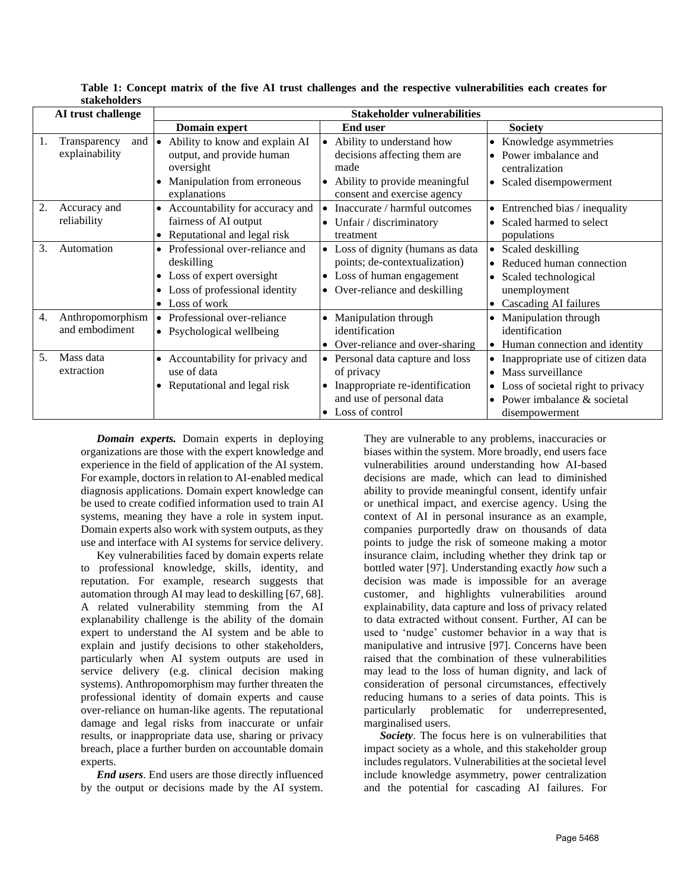| AI trust challenge                       |     | <b>Stakeholder vulnerabilities</b>                                                                                                                  |                                                                                                                                             |                                                                                                                                                                           |
|------------------------------------------|-----|-----------------------------------------------------------------------------------------------------------------------------------------------------|---------------------------------------------------------------------------------------------------------------------------------------------|---------------------------------------------------------------------------------------------------------------------------------------------------------------------------|
|                                          |     | <b>Domain expert</b>                                                                                                                                | <b>End user</b>                                                                                                                             | <b>Society</b>                                                                                                                                                            |
| Transparency<br>explainability           | and | Ability to know and explain AI<br>output, and provide human<br>oversight<br>Manipulation from erroneous<br>explanations                             | Ability to understand how<br>decisions affecting them are<br>made<br>Ability to provide meaningful<br>consent and exercise agency           | • Knowledge asymmetries<br>Power imbalance and<br>$\bullet$<br>centralization<br>• Scaled disempowerment                                                                  |
| 2.<br>Accuracy and<br>reliability        |     | Accountability for accuracy and<br>$\bullet$<br>fairness of AI output<br>Reputational and legal risk<br>$\bullet$                                   | Inaccurate / harmful outcomes<br>Unfair / discriminatory<br>$\bullet$<br>treatment                                                          | $\bullet$ Entrenched bias / inequality<br>• Scaled harmed to select<br>populations                                                                                        |
| 3.<br>Automation                         |     | Professional over-reliance and<br>deskilling<br>Loss of expert oversight<br>Loss of professional identity<br>$\bullet$<br>Loss of work<br>$\bullet$ | Loss of dignity (humans as data<br>points; de-contextualization)<br>Loss of human engagement<br>$\bullet$<br>• Over-reliance and deskilling | Scaled deskilling<br>$\bullet$<br>• Reduced human connection<br>• Scaled technological<br>unemployment<br>Cascading AI failures<br>$\bullet$                              |
| 4.<br>Anthropomorphism<br>and embodiment |     | Professional over-reliance<br>$\bullet$<br>• Psychological wellbeing                                                                                | Manipulation through<br>identification<br>• Over-reliance and over-sharing                                                                  | Manipulation through<br>identification<br>• Human connection and identity                                                                                                 |
| 5.<br>Mass data<br>extraction            |     | Accountability for privacy and<br>use of data<br>Reputational and legal risk                                                                        | Personal data capture and loss<br>of privacy<br>Inappropriate re-identification<br>and use of personal data<br>Loss of control              | • Inappropriate use of citizen data<br>Mass surveillance<br>$\bullet$<br>• Loss of societal right to privacy<br>Power imbalance & societal<br>$\bullet$<br>disempowerment |

**Table 1: Concept matrix of the five AI trust challenges and the respective vulnerabilities each creates for stakeholders**

*Domain experts.* Domain experts in deploying organizations are those with the expert knowledge and experience in the field of application of the AI system. For example, doctors in relation to AI-enabled medical diagnosis applications. Domain expert knowledge can be used to create codified information used to train AI systems, meaning they have a role in system input. Domain experts also work with system outputs, as they use and interface with AI systems for service delivery.

Key vulnerabilities faced by domain experts relate to professional knowledge, skills, identity, and reputation. For example, research suggests that automation through AI may lead to deskilling [67, 68]. A related vulnerability stemming from the AI explanability challenge is the ability of the domain expert to understand the AI system and be able to explain and justify decisions to other stakeholders, particularly when AI system outputs are used in service delivery (e.g. clinical decision making systems). Anthropomorphism may further threaten the professional identity of domain experts and cause over-reliance on human-like agents. The reputational damage and legal risks from inaccurate or unfair results, or inappropriate data use, sharing or privacy breach, place a further burden on accountable domain experts.

*End users*. End users are those directly influenced by the output or decisions made by the AI system. They are vulnerable to any problems, inaccuracies or biases within the system. More broadly, end users face vulnerabilities around understanding how AI-based decisions are made, which can lead to diminished ability to provide meaningful consent, identify unfair or unethical impact, and exercise agency. Using the context of AI in personal insurance as an example, companies purportedly draw on thousands of data points to judge the risk of someone making a motor insurance claim, including whether they drink tap or bottled water [97]. Understanding exactly *how* such a decision was made is impossible for an average customer, and highlights vulnerabilities around explainability, data capture and loss of privacy related to data extracted without consent. Further, AI can be used to 'nudge' customer behavior in a way that is manipulative and intrusive [97]. Concerns have been raised that the combination of these vulnerabilities may lead to the loss of human dignity, and lack of consideration of personal circumstances, effectively reducing humans to a series of data points. This is particularly problematic for underrepresented, marginalised users.

*Society*. The focus here is on vulnerabilities that impact society as a whole, and this stakeholder group includes regulators. Vulnerabilities at the societal level include knowledge asymmetry, power centralization and the potential for cascading AI failures. For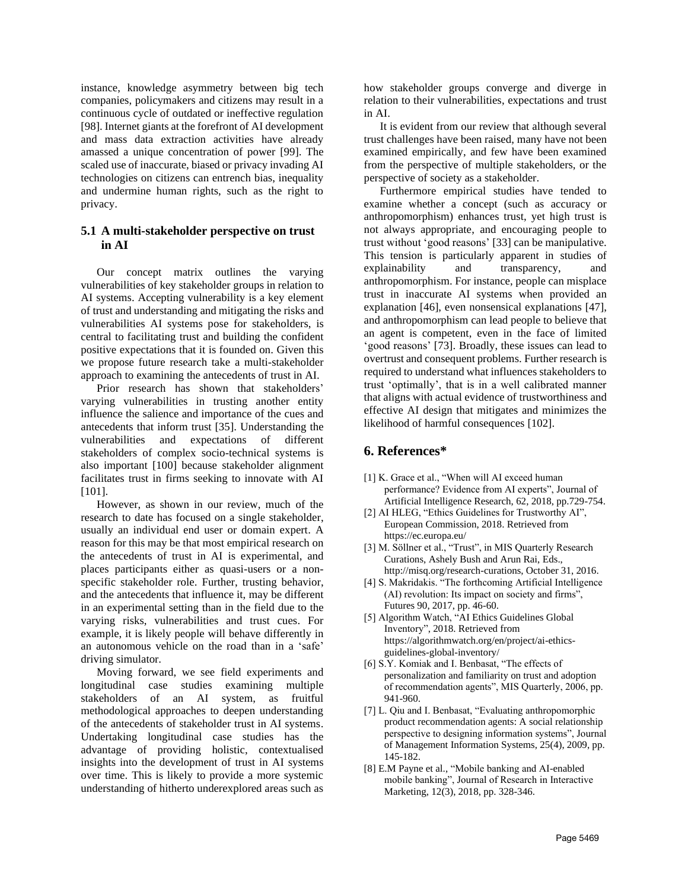instance, knowledge asymmetry between big tech companies, policymakers and citizens may result in a continuous cycle of outdated or ineffective regulation [98]. Internet giants at the forefront of AI development and mass data extraction activities have already amassed a unique concentration of power [99]. The scaled use of inaccurate, biased or privacy invading AI technologies on citizens can entrench bias, inequality and undermine human rights, such as the right to privacy.

#### **5.1 A multi-stakeholder perspective on trust in AI**

Our concept matrix outlines the varying vulnerabilities of key stakeholder groups in relation to AI systems. Accepting vulnerability is a key element of trust and understanding and mitigating the risks and vulnerabilities AI systems pose for stakeholders, is central to facilitating trust and building the confident positive expectations that it is founded on. Given this we propose future research take a multi-stakeholder approach to examining the antecedents of trust in AI.

Prior research has shown that stakeholders' varying vulnerabilities in trusting another entity influence the salience and importance of the cues and antecedents that inform trust [35]. Understanding the vulnerabilities and expectations of different stakeholders of complex socio-technical systems is also important [100] because stakeholder alignment facilitates trust in firms seeking to innovate with AI [101].

However, as shown in our review, much of the research to date has focused on a single stakeholder, usually an individual end user or domain expert. A reason for this may be that most empirical research on the antecedents of trust in AI is experimental, and places participants either as quasi-users or a nonspecific stakeholder role. Further, trusting behavior, and the antecedents that influence it, may be different in an experimental setting than in the field due to the varying risks, vulnerabilities and trust cues. For example, it is likely people will behave differently in an autonomous vehicle on the road than in a 'safe' driving simulator.

Moving forward, we see field experiments and longitudinal case studies examining multiple stakeholders of an AI system, as fruitful methodological approaches to deepen understanding of the antecedents of stakeholder trust in AI systems. Undertaking longitudinal case studies has the advantage of providing holistic, contextualised insights into the development of trust in AI systems over time. This is likely to provide a more systemic understanding of hitherto underexplored areas such as how stakeholder groups converge and diverge in relation to their vulnerabilities, expectations and trust in AI.

It is evident from our review that although several trust challenges have been raised, many have not been examined empirically, and few have been examined from the perspective of multiple stakeholders, or the perspective of society as a stakeholder.

Furthermore empirical studies have tended to examine whether a concept (such as accuracy or anthropomorphism) enhances trust, yet high trust is not always appropriate, and encouraging people to trust without 'good reasons' [33] can be manipulative. This tension is particularly apparent in studies of explainability and transparency, and anthropomorphism. For instance, people can misplace trust in inaccurate AI systems when provided an explanation [46], even nonsensical explanations [47], and anthropomorphism can lead people to believe that an agent is competent, even in the face of limited 'good reasons' [73]. Broadly, these issues can lead to overtrust and consequent problems. Further research is required to understand what influences stakeholders to trust 'optimally', that is in a well calibrated manner that aligns with actual evidence of trustworthiness and effective AI design that mitigates and minimizes the likelihood of harmful consequences [102].

#### **6. References\***

- [1] K. Grace et al., "When will AI exceed human performance? Evidence from AI experts", Journal of Artificial Intelligence Research, 62, 2018, pp.729-754.
- [2] AI HLEG, "Ethics Guidelines for Trustworthy AI", European Commission, 2018. Retrieved from https://ec.europa.eu/
- [3] M. Söllner et al., "Trust", in MIS Quarterly Research Curations, Ashely Bush and Arun Rai, Eds., http://misq.org/research-curations, October 31, 2016.
- [4] S. Makridakis. "The forthcoming Artificial Intelligence (AI) revolution: Its impact on society and firms", Futures 90, 2017, pp. 46-60.
- [5] Algorithm Watch, "AI Ethics Guidelines Global Inventory", 2018. Retrieved from https://algorithmwatch.org/en/project/ai-ethicsguidelines-global-inventory/
- [6] S.Y. Komiak and I. Benbasat, "The effects of personalization and familiarity on trust and adoption of recommendation agents", MIS Quarterly, 2006, pp. 941-960.
- [7] L. Qiu and I. Benbasat, "Evaluating anthropomorphic product recommendation agents: A social relationship perspective to designing information systems", Journal of Management Information Systems, 25(4), 2009, pp. 145-182.
- [8] E.M Payne et al., "Mobile banking and AI-enabled mobile banking", Journal of Research in Interactive Marketing, 12(3), 2018, pp. 328-346.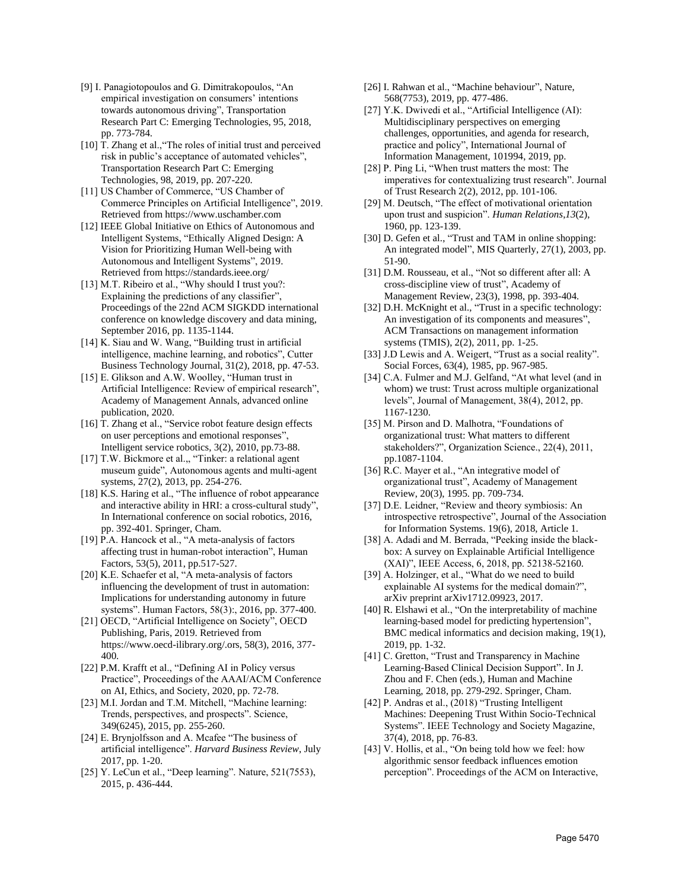- [9] I. Panagiotopoulos and G. Dimitrakopoulos, "An empirical investigation on consumers' intentions towards autonomous driving", Transportation Research Part C: Emerging Technologies, 95, 2018, pp. 773-784.
- [10] T. Zhang et al., "The roles of initial trust and perceived risk in public's acceptance of automated vehicles", Transportation Research Part C: Emerging Technologies, 98, 2019, pp. 207-220.
- [11] US Chamber of Commerce, "US Chamber of Commerce Principles on Artificial Intelligence", 2019. Retrieved from https://www.uschamber.com
- [12] IEEE Global Initiative on Ethics of Autonomous and Intelligent Systems, "Ethically Aligned Design: A Vision for Prioritizing Human Well-being with Autonomous and Intelligent Systems", 2019. Retrieved from https://standards.ieee.org/
- [13] M.T. Ribeiro et al., "Why should I trust you?: Explaining the predictions of any classifier", Proceedings of the 22nd ACM SIGKDD international conference on knowledge discovery and data mining, September 2016, pp. 1135-1144.
- [14] K. Siau and W. Wang, "Building trust in artificial intelligence, machine learning, and robotics", Cutter Business Technology Journal, 31(2), 2018, pp. 47-53.
- [15] E. Glikson and A.W. Woolley, "Human trust in Artificial Intelligence: Review of empirical research", Academy of Management Annals, advanced online publication, 2020.
- [16] T. Zhang et al., "Service robot feature design effects on user perceptions and emotional responses", Intelligent service robotics, 3(2), 2010, pp.73-88.
- [17] T.W. Bickmore et al.,, "Tinker: a relational agent museum guide", Autonomous agents and multi-agent systems, 27(2), 2013, pp. 254-276.
- [18] K.S. Haring et al., "The influence of robot appearance and interactive ability in HRI: a cross-cultural study", In International conference on social robotics, 2016, pp. 392-401. Springer, Cham.
- [19] P.A. Hancock et al., "A meta-analysis of factors affecting trust in human-robot interaction", Human Factors, 53(5), 2011, pp.517-527.
- [20] K.E. Schaefer et al, "A meta-analysis of factors influencing the development of trust in automation: Implications for understanding autonomy in future systems". Human Factors, 58(3):, 2016, pp. 377-400.
- [21] OECD, "Artificial Intelligence on Society", OECD Publishing, Paris, 2019. Retrieved from https://www.oecd-ilibrary.org/.ors, 58(3), 2016, 377- 400.
- [22] P.M. Krafft et al., "Defining AI in Policy versus Practice", Proceedings of the AAAI/ACM Conference on AI, Ethics, and Society, 2020, pp. 72-78.
- [23] M.I. Jordan and T.M. Mitchell, "Machine learning: Trends, perspectives, and prospects". Science, 349(6245), 2015, pp. 255-260.
- [24] E. Brynjolfsson and A. Mcafee "The business of artificial intelligence". *Harvard Business Review*, July 2017, pp. 1-20.
- [25] Y. LeCun et al., "Deep learning". Nature, 521(7553), 2015, p. 436-444.
- [26] I. Rahwan et al., "Machine behaviour", Nature, 568(7753), 2019, pp. 477-486.
- [27] Y.K. Dwivedi et al., "Artificial Intelligence (AI): Multidisciplinary perspectives on emerging challenges, opportunities, and agenda for research, practice and policy", International Journal of Information Management, 101994, 2019, pp.
- [28] P. Ping Li, "When trust matters the most: The imperatives for contextualizing trust research". Journal of Trust Research 2(2), 2012, pp. 101-106.
- [29] M. Deutsch, "The effect of motivational orientation upon trust and suspicion". *Human Relations*,*13*(2), 1960, pp. 123-139.
- [30] D. Gefen et al., "Trust and TAM in online shopping: An integrated model", MIS Quarterly, 27(1), 2003, pp. 51-90.
- [31] D.M. Rousseau, et al., "Not so different after all: A cross-discipline view of trust", Academy of Management Review, 23(3), 1998, pp. 393-404.
- [32] D.H. McKnight et al., "Trust in a specific technology: An investigation of its components and measures", ACM Transactions on management information systems (TMIS), 2(2), 2011, pp. 1-25.
- [33] J.D Lewis and A. Weigert, "Trust as a social reality". Social Forces, 63(4), 1985, pp. 967-985.
- [34] C.A. Fulmer and M.J. Gelfand, "At what level (and in whom) we trust: Trust across multiple organizational levels", Journal of Management, 38(4), 2012, pp. 1167-1230.
- [35] M. Pirson and D. Malhotra, "Foundations of organizational trust: What matters to different stakeholders?", Organization Science., 22(4), 2011, pp.1087-1104.
- [36] R.C. Mayer et al., "An integrative model of organizational trust", Academy of Management Review, 20(3), 1995. pp. 709-734.
- [37] D.E. Leidner, "Review and theory symbiosis: An introspective retrospective", Journal of the Association for Information Systems. 19(6), 2018, Article 1.
- [38] A. Adadi and M. Berrada, "Peeking inside the blackbox: A survey on Explainable Artificial Intelligence (XAI)", IEEE Access, 6, 2018, pp. 52138-52160.
- [39] A. Holzinger, et al., "What do we need to build explainable AI systems for the medical domain?", arXiv preprint arXiv1712.09923, 2017.
- [40] R. Elshawi et al., "On the interpretability of machine learning-based model for predicting hypertension", BMC medical informatics and decision making, 19(1), 2019, pp. 1-32.
- [41] C. Gretton, "Trust and Transparency in Machine Learning-Based Clinical Decision Support". In J. Zhou and F. Chen (eds.), Human and Machine Learning, 2018, pp. 279-292. Springer, Cham.
- [42] P. Andras et al., (2018) "Trusting Intelligent Machines: Deepening Trust Within Socio-Technical Systems". IEEE Technology and Society Magazine, 37(4), 2018, pp. 76-83.
- [43] V. Hollis, et al., "On being told how we feel: how algorithmic sensor feedback influences emotion perception". Proceedings of the ACM on Interactive,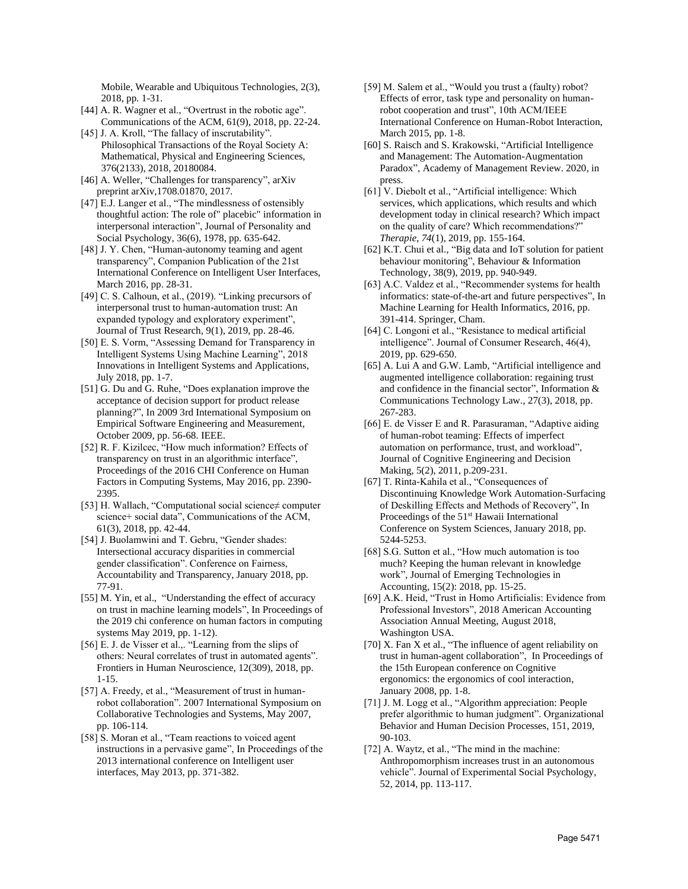Mobile, Wearable and Ubiquitous Technologies, 2(3), 2018, pp. 1-31.

- [44] A. R. Wagner et al., "Overtrust in the robotic age". Communications of the ACM, 61(9), 2018, pp. 22-24.
- [45] J. A. Kroll, "The fallacy of inscrutability". Philosophical Transactions of the Royal Society A: Mathematical, Physical and Engineering Sciences, 376(2133), 2018, 20180084.
- [46] A. Weller, "Challenges for transparency", arXiv preprint arXiv,1708.01870, 2017.
- [47] E.J. Langer et al., "The mindlessness of ostensibly thoughtful action: The role of" placebic" information in interpersonal interaction", Journal of Personality and Social Psychology, 36(6), 1978, pp. 635-642.
- [48] J. Y. Chen, "Human-autonomy teaming and agent transparency", Companion Publication of the 21st International Conference on Intelligent User Interfaces, March 2016, pp. 28-31.
- [49] C. S. Calhoun, et al., (2019). "Linking precursors of interpersonal trust to human-automation trust: An expanded typology and exploratory experiment", Journal of Trust Research, 9(1), 2019, pp. 28-46.
- [50] E. S. Vorm, "Assessing Demand for Transparency in Intelligent Systems Using Machine Learning", 2018 Innovations in Intelligent Systems and Applications, July 2018, pp. 1-7.
- [51] G. Du and G. Ruhe, "Does explanation improve the acceptance of decision support for product release planning?", In 2009 3rd International Symposium on Empirical Software Engineering and Measurement, October 2009, pp. 56-68. IEEE.
- [52] R. F. Kizilcec, "How much information? Effects of transparency on trust in an algorithmic interface", Proceedings of the 2016 CHI Conference on Human Factors in Computing Systems, May 2016, pp. 2390- 2395.
- [53] H. Wallach, "Computational social science≠ computer science+ social data", Communications of the ACM, 61(3), 2018, pp. 42-44.
- [54] J. Buolamwini and T. Gebru, "Gender shades: Intersectional accuracy disparities in commercial gender classification". Conference on Fairness, Accountability and Transparency, January 2018, pp. 77-91.
- [55] M. Yin, et al., "Understanding the effect of accuracy on trust in machine learning models", In Proceedings of the 2019 chi conference on human factors in computing systems May 2019, pp. 1-12).
- [56] E. J. de Visser et al.,. "Learning from the slips of others: Neural correlates of trust in automated agents". Frontiers in Human Neuroscience, 12(309), 2018, pp. 1-15.
- [57] A. Freedy, et al., "Measurement of trust in humanrobot collaboration". 2007 International Symposium on Collaborative Technologies and Systems, May 2007, pp. 106-114.
- [58] S. Moran et al., "Team reactions to voiced agent instructions in a pervasive game", In Proceedings of the 2013 international conference on Intelligent user interfaces, May 2013, pp. 371-382.
- [59] M. Salem et al., "Would you trust a (faulty) robot? Effects of error, task type and personality on humanrobot cooperation and trust", 10th ACM/IEEE International Conference on Human-Robot Interaction, March 2015, pp. 1-8.
- [60] S. Raisch and S. Krakowski, "Artificial Intelligence and Management: The Automation-Augmentation Paradox", Academy of Management Review. 2020, in press.
- [61] V. Diebolt et al., "Artificial intelligence: Which services, which applications, which results and which development today in clinical research? Which impact on the quality of care? Which recommendations?" *Therapie*, *74*(1), 2019, pp. 155-164.
- [62] K.T. Chui et al., "Big data and IoT solution for patient behaviour monitoring", Behaviour & Information Technology, 38(9), 2019, pp. 940-949.
- [63] A.C. Valdez et al., "Recommender systems for health informatics: state-of-the-art and future perspectives", In Machine Learning for Health Informatics, 2016, pp. 391-414. Springer, Cham.
- [64] C. Longoni et al., "Resistance to medical artificial intelligence". Journal of Consumer Research, 46(4), 2019, pp. 629-650.
- [65] A. Lui A and G.W. Lamb, "Artificial intelligence and augmented intelligence collaboration: regaining trust and confidence in the financial sector", Information & Communications Technology Law., 27(3), 2018, pp. 267-283.
- [66] E. de Visser E and R. Parasuraman, "Adaptive aiding of human-robot teaming: Effects of imperfect automation on performance, trust, and workload", Journal of Cognitive Engineering and Decision Making, 5(2), 2011, p.209-231.
- [67] T. Rinta-Kahila et al., "Consequences of Discontinuing Knowledge Work Automation-Surfacing of Deskilling Effects and Methods of Recovery", In Proceedings of the 51<sup>st</sup> Hawaii International Conference on System Sciences, January 2018, pp. 5244-5253.
- [68] S.G. Sutton et al., "How much automation is too much? Keeping the human relevant in knowledge work", Journal of Emerging Technologies in Accounting, 15(2): 2018, pp. 15-25.
- [69] A.K. Heid, "Trust in Homo Artificialis: Evidence from Professional Investors", 2018 American Accounting Association Annual Meeting, August 2018, Washington USA.
- [70] X. Fan X et al., "The influence of agent reliability on trust in human-agent collaboration", In Proceedings of the 15th European conference on Cognitive ergonomics: the ergonomics of cool interaction, January 2008, pp. 1-8.
- [71] J. M. Logg et al., "Algorithm appreciation: People prefer algorithmic to human judgment". Organizational Behavior and Human Decision Processes, 151, 2019, 90-103.
- [72] A. Waytz, et al., "The mind in the machine: Anthropomorphism increases trust in an autonomous vehicle". Journal of Experimental Social Psychology, 52, 2014, pp. 113-117.